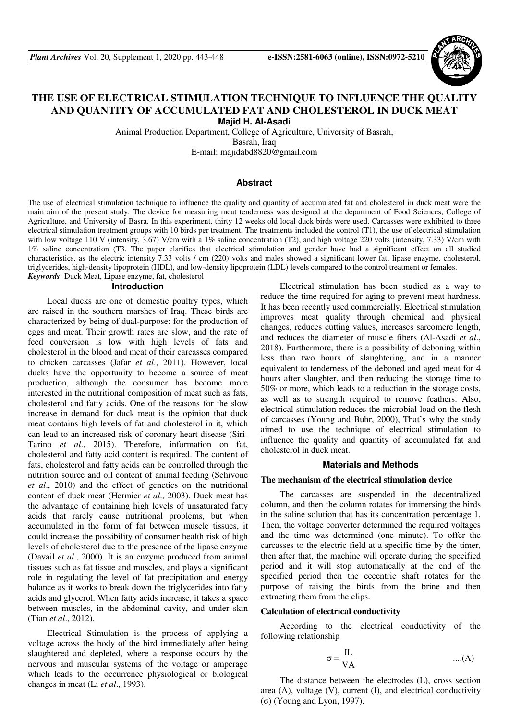

# **THE USE OF ELECTRICAL STIMULATION TECHNIQUE TO INFLUENCE THE QUALITY AND QUANTITY OF ACCUMULATED FAT AND CHOLESTEROL IN DUCK MEAT Majid H. Al-Asadi**

Animal Production Department, College of Agriculture, University of Basrah, Basrah, Iraq

E-mail: majidabd8820@gmail.com

## **Abstract**

The use of electrical stimulation technique to influence the quality and quantity of accumulated fat and cholesterol in duck meat were the main aim of the present study. The device for measuring meat tenderness was designed at the department of Food Sciences, College of Agriculture, and University of Basra. In this experiment, thirty 12 weeks old local duck birds were used. Carcasses were exhibited to three electrical stimulation treatment groups with 10 birds per treatment. The treatments included the control  $(T1)$ , the use of electrical stimulation with low voltage 110 V (intensity, 3.67) V/cm with a 1% saline concentration (T2), and high voltage 220 volts (intensity, 7.33) V/cm with 1% saline concentration (T3. The paper clarifies that electrical stimulation and gender have had a significant effect on all studied characteristics, as the electric intensity 7.33 volts / cm (220) volts and males showed a significant lower fat, lipase enzyme, cholesterol, triglycerides, high-density lipoprotein (HDL), and low-density lipoprotein (LDL) levels compared to the control treatment or females. *Keywords*: Duck Meat, Lipase enzyme, fat, cholesterol

#### **Introduction**

Local ducks are one of domestic poultry types, which are raised in the southern marshes of Iraq. These birds are characterized by being of dual-purpose: for the production of eggs and meat. Their growth rates are slow, and the rate of feed conversion is low with high levels of fats and cholesterol in the blood and meat of their carcasses compared to chicken carcasses (Jafar *et al*., 2011). However, local ducks have the opportunity to become a source of meat production, although the consumer has become more interested in the nutritional composition of meat such as fats, cholesterol and fatty acids. One of the reasons for the slow increase in demand for duck meat is the opinion that duck meat contains high levels of fat and cholesterol in it, which can lead to an increased risk of coronary heart disease (Siri-Tarino *et al*., 2015). Therefore, information on fat, cholesterol and fatty acid content is required. The content of fats, cholesterol and fatty acids can be controlled through the nutrition source and oil content of animal feeding (Schivone *et al*., 2010) and the effect of genetics on the nutritional content of duck meat (Hermier *et al*., 2003). Duck meat has the advantage of containing high levels of unsaturated fatty acids that rarely cause nutritional problems, but when accumulated in the form of fat between muscle tissues, it could increase the possibility of consumer health risk of high levels of cholesterol due to the presence of the lipase enzyme (Davail *et al*., 2000). It is an enzyme produced from animal tissues such as fat tissue and muscles, and plays a significant role in regulating the level of fat precipitation and energy balance as it works to break down the triglycerides into fatty acids and glycerol. When fatty acids increase, it takes a space between muscles, in the abdominal cavity, and under skin (Tian *et al*., 2012).

Electrical Stimulation is the process of applying a voltage across the body of the bird immediately after being slaughtered and depleted, where a response occurs by the nervous and muscular systems of the voltage or amperage which leads to the occurrence physiological or biological changes in meat (Li *et al*., 1993).

Electrical stimulation has been studied as a way to reduce the time required for aging to prevent meat hardness. It has been recently used commercially. Electrical stimulation improves meat quality through chemical and physical changes, reduces cutting values, increases sarcomere length, and reduces the diameter of muscle fibers (Al-Asadi *et al*., 2018). Furthermore, there is a possibility of deboning within less than two hours of slaughtering, and in a manner equivalent to tenderness of the deboned and aged meat for 4 hours after slaughter, and then reducing the storage time to 50% or more, which leads to a reduction in the storage costs, as well as to strength required to remove feathers. Also, electrical stimulation reduces the microbial load on the flesh of carcasses (Young and Buhr, 2000), That's why the study aimed to use the technique of electrical stimulation to influence the quality and quantity of accumulated fat and cholesterol in duck meat.

# **Materials and Methods**

#### **The mechanism of the electrical stimulation device**

The carcasses are suspended in the decentralized column, and then the column rotates for immersing the birds in the saline solution that has its concentration percentage 1. Then, the voltage converter determined the required voltages and the time was determined (one minute). To offer the carcasses to the electric field at a specific time by the timer, then after that, the machine will operate during the specified period and it will stop automatically at the end of the specified period then the eccentric shaft rotates for the purpose of raising the birds from the brine and then extracting them from the clips.

#### **Calculation of electrical conductivity**

According to the electrical conductivity of the following relationship

$$
\sigma = \frac{IL}{VA}
$$
 ....(A)

The distance between the electrodes (L), cross section area (A), voltage (V), current (I), and electrical conductivity (σ) (Young and Lyon, 1997).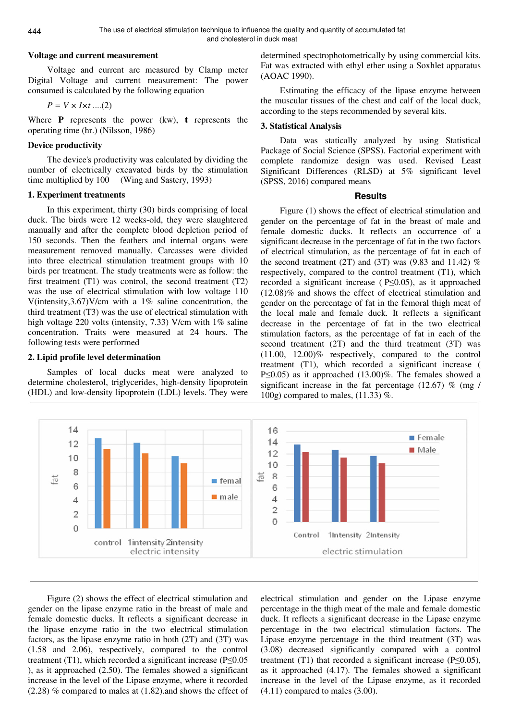#### **Voltage and current measurement**

Voltage and current are measured by Clamp meter Digital Voltage and current measurement: The power consumed is calculated by the following equation

$$
P = V \times I \times t \dots (2)
$$

Where **P** represents the power (kw), **t** represents the operating time (hr.) (Nilsson, 1986)

### **Device productivity**

The device's productivity was calculated by dividing the number of electrically excavated birds by the stimulation time multiplied by 100(Wing and Sastery, 1993)

# **1. Experiment treatments**

In this experiment, thirty (30) birds comprising of local duck. The birds were 12 weeks-old, they were slaughtered manually and after the complete blood depletion period of 150 seconds. Then the feathers and internal organs were measurement removed manually. Carcasses were divided into three electrical stimulation treatment groups with 10 birds per treatment. The study treatments were as follow: the first treatment (T1) was control, the second treatment (T2) was the use of electrical stimulation with low voltage 110 V(intensity,  $3.67$ )V/cm with a 1% saline concentration, the third treatment (T3) was the use of electrical stimulation with high voltage 220 volts (intensity, 7.33) V/cm with 1% saline concentration. Traits were measured at 24 hours. The following tests were performed

### **2. Lipid profile level determination**

Samples of local ducks meat were analyzed to determine cholesterol, triglycerides, high-density lipoprotein (HDL) and low-density lipoprotein (LDL) levels. They were determined spectrophotometrically by using commercial kits. Fat was extracted with ethyl ether using a Soxhlet apparatus (AOAC 1990).

Estimating the efficacy of the lipase enzyme between the muscular tissues of the chest and calf of the local duck, according to the steps recommended by several kits.

## **3. Statistical Analysis**

Data was statically analyzed by using Statistical Package of Social Science (SPSS). Factorial experiment with complete randomize design was used. Revised Least Significant Differences (RLSD) at 5% significant level (SPSS, 2016) compared means

## **Results**

Figure (1) shows the effect of electrical stimulation and gender on the percentage of fat in the breast of male and female domestic ducks. It reflects an occurrence of a significant decrease in the percentage of fat in the two factors of electrical stimulation, as the percentage of fat in each of the second treatment (2T) and (3T) was  $(9.83 \text{ and } 11.42)$  % respectively, compared to the control treatment (T1), which recorded a significant increase ( P≤0.05), as it approached (12.08)% and shows the effect of electrical stimulation and gender on the percentage of fat in the femoral thigh meat of the local male and female duck. It reflects a significant decrease in the percentage of fat in the two electrical stimulation factors, as the percentage of fat in each of the second treatment (2T) and the third treatment (3T) was (11.00, 12.00)% respectively, compared to the control treatment (T1), which recorded a significant increase ( P≤0.05) as it approached (13.00)%. The females showed a significant increase in the fat percentage  $(12.67)$  % (mg / 100g) compared to males, (11.33) %.



Figure (2) shows the effect of electrical stimulation and gender on the lipase enzyme ratio in the breast of male and female domestic ducks. It reflects a significant decrease in the lipase enzyme ratio in the two electrical stimulation factors, as the lipase enzyme ratio in both (2T) and (3T) was (1.58 and 2.06), respectively, compared to the control treatment (T1), which recorded a significant increase (P≤0.05 ), as it approached (2.50). The females showed a significant increase in the level of the Lipase enzyme, where it recorded (2.28) % compared to males at (1.82).and shows the effect of

electrical stimulation and gender on the Lipase enzyme percentage in the thigh meat of the male and female domestic duck. It reflects a significant decrease in the Lipase enzyme percentage in the two electrical stimulation factors. The Lipase enzyme percentage in the third treatment (3T) was (3.08) decreased significantly compared with a control treatment (T1) that recorded a significant increase ( $P \le 0.05$ ), as it approached (4.17). The females showed a significant increase in the level of the Lipase enzyme, as it recorded  $(4.11)$  compared to males  $(3.00)$ .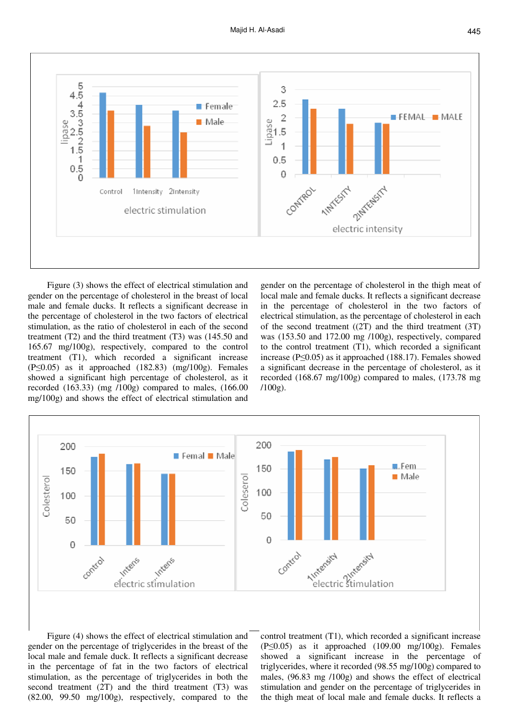

Figure (3) shows the effect of electrical stimulation and gender on the percentage of cholesterol in the breast of local male and female ducks. It reflects a significant decrease in the percentage of cholesterol in the two factors of electrical stimulation, as the ratio of cholesterol in each of the second treatment (T2) and the third treatment (T3) was (145.50 and 165.67 mg/100g), respectively, compared to the control treatment (T1), which recorded a significant increase  $(P \le 0.05)$  as it approached  $(182.83)$  (mg/100g). Females showed a significant high percentage of cholesterol, as it recorded (163.33) (mg /100g) compared to males, (166.00 mg/100g) and shows the effect of electrical stimulation and

gender on the percentage of cholesterol in the thigh meat of local male and female ducks. It reflects a significant decrease in the percentage of cholesterol in the two factors of electrical stimulation, as the percentage of cholesterol in each of the second treatment  $((2T)$  and the third treatment  $(3T)$ was (153.50 and 172.00 mg /100g), respectively, compared to the control treatment (T1), which recorded a significant increase (P≤0.05) as it approached (188.17). Females showed a significant decrease in the percentage of cholesterol, as it recorded (168.67 mg/100g) compared to males, (173.78 mg /100g).



Figure (4) shows the effect of electrical stimulation and gender on the percentage of triglycerides in the breast of the local male and female duck. It reflects a significant decrease in the percentage of fat in the two factors of electrical stimulation, as the percentage of triglycerides in both the second treatment (2T) and the third treatment (T3) was (82.00, 99.50 mg/100g), respectively, compared to the

control treatment (T1), which recorded a significant increase  $(P \le 0.05)$  as it approached  $(109.00 \text{ mg}/100 \text{g})$ . Females showed a significant increase in the percentage of triglycerides, where it recorded (98.55 mg/100g) compared to males, (96.83 mg /100g) and shows the effect of electrical stimulation and gender on the percentage of triglycerides in the thigh meat of local male and female ducks. It reflects a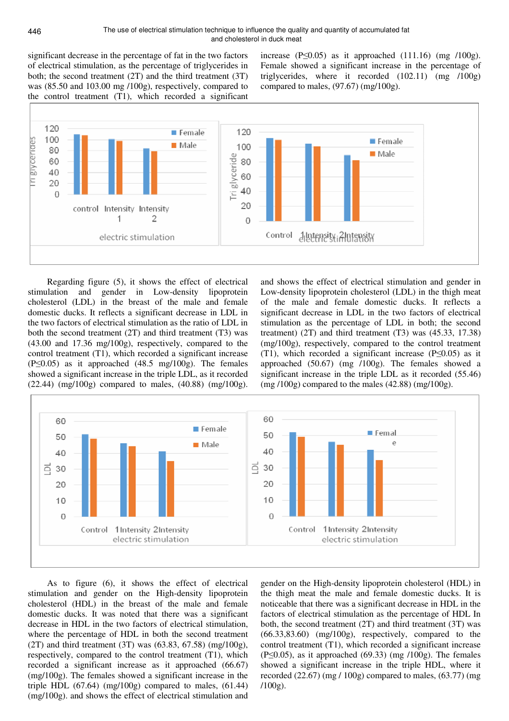significant decrease in the percentage of fat in the two factors of electrical stimulation, as the percentage of triglycerides in both; the second treatment (2T) and the third treatment (3T) was (85.50 and 103.00 mg /100g), respectively, compared to the control treatment (T1), which recorded a significant increase  $(P \le 0.05)$  as it approached  $(111.16)$  (mg  $/100g$ ). Female showed a significant increase in the percentage of triglycerides, where it recorded (102.11) (mg /100g) compared to males,  $(97.67)$  (mg/100g).



Regarding figure (5), it shows the effect of electrical stimulation and gender in Low-density lipoprotein cholesterol (LDL) in the breast of the male and female domestic ducks. It reflects a significant decrease in LDL in the two factors of electrical stimulation as the ratio of LDL in both the second treatment (2T) and third treatment (T3) was (43.00 and 17.36 mg/100g), respectively, compared to the control treatment (T1), which recorded a significant increase  $(P \le 0.05)$  as it approached  $(48.5 \text{ mg}/100 \text{g})$ . The females showed a significant increase in the triple LDL, as it recorded  $(22.44)$  (mg/100g) compared to males,  $(40.88)$  (mg/100g).

and shows the effect of electrical stimulation and gender in Low-density lipoprotein cholesterol (LDL) in the thigh meat of the male and female domestic ducks. It reflects a significant decrease in LDL in the two factors of electrical stimulation as the percentage of LDL in both; the second treatment) (2T) and third treatment (T3) was (45.33, 17.38) (mg/100g), respectively, compared to the control treatment (T1), which recorded a significant increase (P≤0.05) as it approached (50.67) (mg /100g). The females showed a significant increase in the triple LDL as it recorded (55.46)  $(mg/100g)$  compared to the males  $(42.88)$   $(mg/100g)$ .



As to figure (6), it shows the effect of electrical stimulation and gender on the High-density lipoprotein cholesterol (HDL) in the breast of the male and female domestic ducks. It was noted that there was a significant decrease in HDL in the two factors of electrical stimulation, where the percentage of HDL in both the second treatment (2T) and third treatment (3T) was (63.83, 67.58) (mg/100g), respectively, compared to the control treatment (T1), which recorded a significant increase as it approached (66.67) (mg/100g). The females showed a significant increase in the triple HDL  $(67.64)$  (mg/100g) compared to males,  $(61.44)$ (mg/100g). and shows the effect of electrical stimulation and

gender on the High-density lipoprotein cholesterol (HDL) in the thigh meat the male and female domestic ducks. It is noticeable that there was a significant decrease in HDL in the factors of electrical stimulation as the percentage of HDL In both, the second treatment (2T) and third treatment (3T) was (66.33,83.60) (mg/100g), respectively, compared to the control treatment (T1), which recorded a significant increase  $(P \le 0.05)$ , as it approached  $(69.33)$  (mg  $/100g$ ). The females showed a significant increase in the triple HDL, where it recorded  $(22.67)$  (mg  $/ 100$ g) compared to males,  $(63.77)$  (mg  $/100g$ ).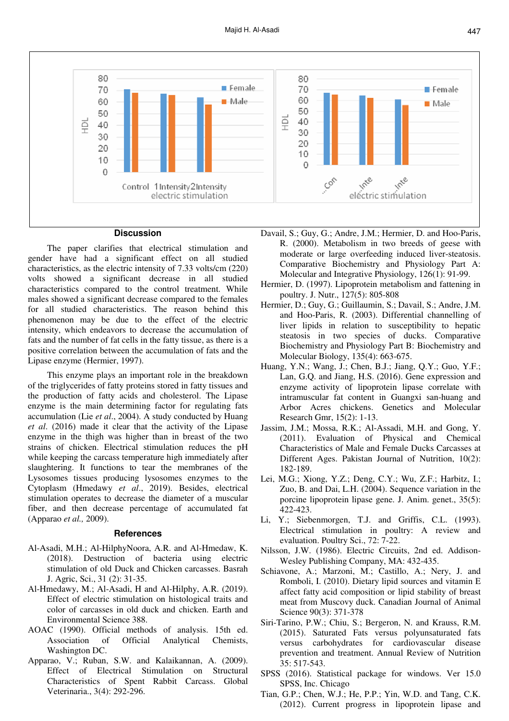

### **Discussion**

The paper clarifies that electrical stimulation and gender have had a significant effect on all studied characteristics, as the electric intensity of 7.33 volts/cm (220) volts showed a significant decrease in all studied characteristics compared to the control treatment. While males showed a significant decrease compared to the females for all studied characteristics. The reason behind this phenomenon may be due to the effect of the electric intensity, which endeavors to decrease the accumulation of fats and the number of fat cells in the fatty tissue, as there is a positive correlation between the accumulation of fats and the Lipase enzyme (Hermier, 1997).

This enzyme plays an important role in the breakdown of the triglycerides of fatty proteins stored in fatty tissues and the production of fatty acids and cholesterol. The Lipase enzyme is the main determining factor for regulating fats accumulation (Lie *et al*., 2004). A study conducted by Huang *et al*. (2016) made it clear that the activity of the Lipase enzyme in the thigh was higher than in breast of the two strains of chicken. Electrical stimulation reduces the pH while keeping the carcass temperature high immediately after slaughtering. It functions to tear the membranes of the Lysosomes tissues producing lysosomes enzymes to the Cytoplasm (Hmedawy *et al*., 2019). Besides, electrical stimulation operates to decrease the diameter of a muscular fiber, and then decrease percentage of accumulated fat (Apparao *et al.,* 2009).

#### **References**

- Al-Asadi, M.H.; Al-HilphyNoora, A.R. and Al-Hmedaw, K. (2018). Destruction of bacteria using electric stimulation of old Duck and Chicken carcasses. Basrah J. Agric, Sci., 31 (2): 31-35.
- Al-Hmedawy, M.; Al-Asadi, H and Al-Hilphy, A.R. (2019). Effect of electric stimulation on histological traits and color of carcasses in old duck and chicken. Earth and Environmental Science 388.
- AOAC (1990). Official methods of analysis. 15th ed. Association of Official Analytical Chemists, Washington DC.
- Apparao, V.; Ruban, S.W. and Kalaikannan, A. (2009). Effect of Electrical Stimulation on Structural Characteristics of Spent Rabbit Carcass. Global Veterinaria., 3(4): 292-296.
- Davail, S.; Guy, G.; Andre, J.M.; Hermier, D. and Hoo-Paris, R. (2000). Metabolism in two breeds of geese with moderate or large overfeeding induced liver-steatosis. Comparative Biochemistry and Physiology Part A: Molecular and Integrative Physiology, 126(1): 91-99.
- Hermier, D. (1997). Lipoprotein metabolism and fattening in poultry. J. Nutr., 127(5): 805-808
- Hermier, D.; Guy, G.; Guillaumin, S.; Davail, S.; Andre, J.M. and Hoo-Paris, R. (2003). Differential channelling of liver lipids in relation to susceptibility to hepatic steatosis in two species of ducks. Comparative Biochemistry and Physiology Part B: Biochemistry and Molecular Biology, 135(4): 663-675.
- Huang, Y.N.; Wang, J.; Chen, B.J.; Jiang, Q.Y.; Guo, Y.F.; Lan, G.Q. and Jiang, H.S. (2016). Gene expression and enzyme activity of lipoprotein lipase correlate with intramuscular fat content in Guangxi san-huang and Arbor Acres chickens. Genetics and Molecular Research Gmr, 15(2): 1-13.
- Jassim, J.M.; Mossa, R.K.; Al-Assadi, M.H. and Gong, Y. (2011). Evaluation of Physical and Chemical Characteristics of Male and Female Ducks Carcasses at Different Ages. Pakistan Journal of Nutrition, 10(2): 182-189.
- Lei, M.G.; Xiong, Y.Z.; Deng, C.Y.; Wu, Z.F.; Harbitz, I.; Zuo, B. and Dai, L.H. (2004). Sequence variation in the porcine lipoprotein lipase gene. J. Anim. genet., 35(5): 422-423.
- Li, Y.; Siebenmorgen, T.J. and Griffis, C.L. (1993). Electrical stimulation in poultry: A review and evaluation. Poultry Sci., 72: 7-22.
- Nilsson, J.W. (1986). Electric Circuits, 2nd ed. Addison-Wesley Publishing Company, MA: 432-435.
- Schiavone, A.; Marzoni, M.; Castillo, A.; Nery, J. and Romboli, I. (2010). Dietary lipid sources and vitamin E affect fatty acid composition or lipid stability of breast meat from Muscovy duck. Canadian Journal of Animal Science 90(3): 371-378
- Siri-Tarino, P.W.; Chiu, S.; Bergeron, N. and Krauss, R.M. (2015). Saturated Fats versus polyunsaturated fats versus carbohydrates for cardiovascular disease prevention and treatment. Annual Review of Nutrition 35: 517-543.
- SPSS (2016). Statistical package for windows. Ver 15.0 SPSS, Inc. Chicago
- Tian, G.P.; Chen, W.J.; He, P.P.; Yin, W.D. and Tang, C.K. (2012). Current progress in lipoprotein lipase and